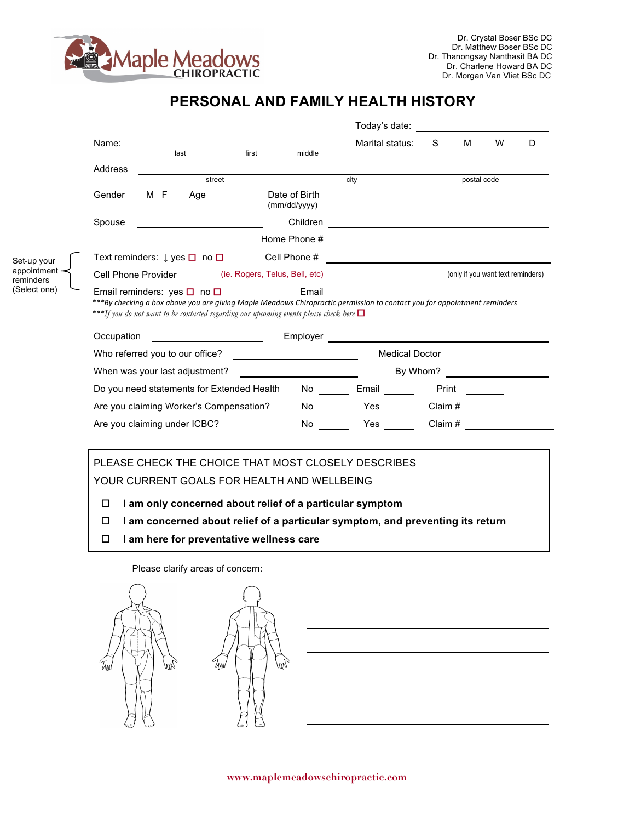

Set-up your appointment reminders (Select one)

## **PERSONAL AND FAMILY HEALTH HISTORY**

|            |     |                                 |                                                                |                                                                                                                             | Today's date:                                                                                                                                                                                                                        |       |             |              |   |
|------------|-----|---------------------------------|----------------------------------------------------------------|-----------------------------------------------------------------------------------------------------------------------------|--------------------------------------------------------------------------------------------------------------------------------------------------------------------------------------------------------------------------------------|-------|-------------|--------------|---|
| Name:      |     | last                            | first                                                          | middle                                                                                                                      | Marital status:                                                                                                                                                                                                                      | S     | М           | W            | D |
|            |     |                                 |                                                                |                                                                                                                             |                                                                                                                                                                                                                                      |       |             |              |   |
| Address    |     | street                          |                                                                |                                                                                                                             | city                                                                                                                                                                                                                                 |       | postal code |              |   |
| Gender     | M F | Age                             |                                                                | Date of Birth<br>(mm/dd/yyyy)                                                                                               |                                                                                                                                                                                                                                      |       |             |              |   |
| Spouse     |     |                                 |                                                                |                                                                                                                             |                                                                                                                                                                                                                                      |       |             |              |   |
|            |     |                                 |                                                                | Home Phone #                                                                                                                | <u> Alexandria de la contrada de la contrada de la contrada de la contrada de la contrada de la contrada de la c</u>                                                                                                                 |       |             |              |   |
|            |     |                                 | Text reminders: $\downarrow$ yes $\Box$ no $\Box$ Cell Phone # |                                                                                                                             | <u> Alexandria de la contrada de la contrada de la contrada de la contrada de la contrada de la contrada de la c</u>                                                                                                                 |       |             |              |   |
|            |     |                                 |                                                                |                                                                                                                             |                                                                                                                                                                                                                                      |       |             |              |   |
|            |     |                                 |                                                                |                                                                                                                             | Cell Phone Provider (ie. Rogers, Telus, Bell, etc) <b>Call Accord (in the Contract Accord Contract Accord Contract Accord Contract Accord Contract Accord Contract Accord Contract Accord Contract Accord Contract Accord Contra</b> |       |             |              |   |
|            |     |                                 |                                                                | ***If you do not want to be contacted regarding our upcoming events please check here $\Box$                                | ***By checking a box above you are giving Maple Meadows Chiropractic permission to contact you for appointment reminders                                                                                                             |       |             |              |   |
|            |     |                                 | <u> 1990 - Johann Barbara, martxa al</u>                       |                                                                                                                             |                                                                                                                                                                                                                                      |       |             |              |   |
|            |     | Who referred you to our office? |                                                                | <u> 1990 - John Stein, Amerikaansk politiker (</u>                                                                          |                                                                                                                                                                                                                                      |       |             |              |   |
|            |     | When was your last adjustment?  |                                                                |                                                                                                                             | Medical Doctor _____________________<br>By Whom?                                                                                                                                                                                     |       |             |              |   |
|            |     |                                 | Do you need statements for Extended Health                     | <u> 1980 - Jan Barbara Barbara, prima popular popular popular popular popular popular popular popular popular po</u><br>No. | Email                                                                                                                                                                                                                                | Print |             |              |   |
| Occupation |     |                                 | Are you claiming Worker's Compensation?                        | No                                                                                                                          | <b>Example 18</b>                                                                                                                                                                                                                    |       |             | Claim # 2000 |   |

## PLEASE CHECK THE CHOICE THAT MOST CLOSELY DESCRIBES

YOUR CURRENT GOALS FOR HEALTH AND WELLBEING

- □ 1 am only concerned about relief of a particular symptom
- o **I am concerned about relief of a particular symptom, and preventing its return**
- o **I am here for preventative wellness care**

Úм

Please clarify areas of concern: